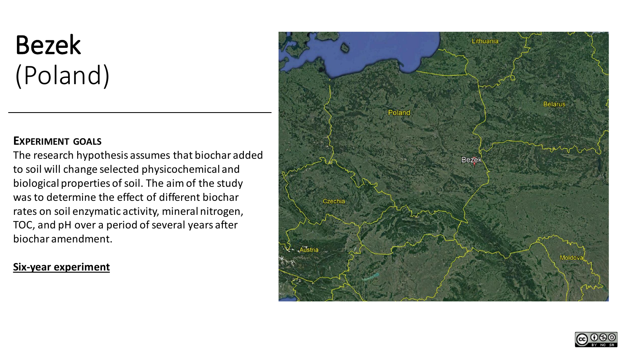# Bezek (Poland)

## **EXPERIMENT GOALS**

The research hypothesis assumes that biochar added to soil will change selected physicochemical and biological properties of soil. The aim of the study was to determine the effect of different biochar rates on soil enzymatic activity, mineral nitrogen, TOC, and pH over a period of several years after biochar amendment.

## **Six-year experiment**



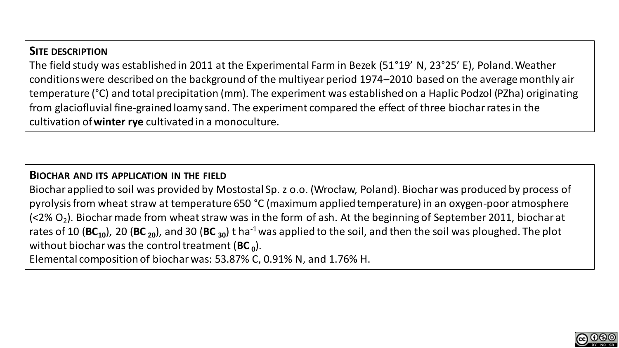# **SITE DESCRIPTION**

The field study was established in 2011 at the Experimental Farm in Bezek (51°19' N, 23°25' E), Poland. Weather conditions were described on the background of the multiyear period 1974–2010 based on the average monthly air temperature (°C) and total precipitation (mm). The experiment was established on a Haplic Podzol (PZha) originating from glaciofluvial fine-grained loamy sand. The experiment compared the effect of three biochar rates in the cultivation of **winter rye** cultivated in a monoculture.

## **BIOCHAR AND ITS APPLICATION IN THE FIELD**

Biochar applied to soil was provided by Mostostal Sp. z o.o. (Wrocław, Poland). Biochar was produced by process of pyrolysis from wheat straw at temperature 650 °C (maximum applied temperature) in an oxygen-poor atmosphere (<2% O<sub>2</sub>). Biochar made from wheat straw was in the form of ash*.* At the beginning of September 2011, biochar at rates of 10 (**BC10**), 20 (**BC <sup>20</sup>**), and 30 (**BC <sup>30</sup>**) t ha-1was applied to the soil, and then the soil was ploughed. The plot without biochar was the control treatment (**BC <sup>0</sup>** ).

Elemental composition of biochar was: 53.87% C, 0.91% N, and 1.76% H.

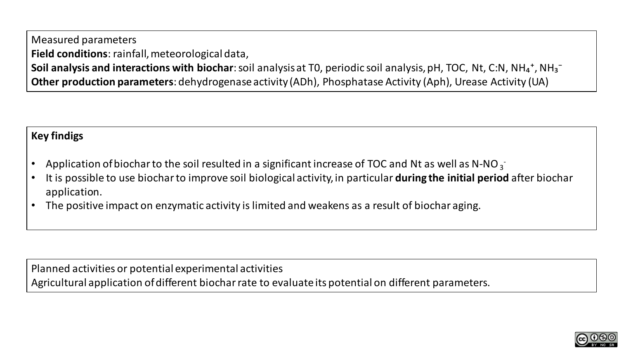Measured parameters **Field conditions**: rainfall, meteorological data, **Soil analysis and interactions with biochar**: soil analysis at T0, periodic soil analysis, pH, TOC, Nt, C:N, NH<sub>4</sub><sup>+</sup>, NH<sub>3</sub><sup>-</sup> **Other production parameters**: dehydrogenase activity (ADh), Phosphatase Activity (Aph), Urease Activity (UA)

# **Key findigs**

- Application of biochar to the soil resulted in a significant increase of TOC and Nt as well as N-NO<sub>3</sub>
- It is possible to use biochar to improve soil biological activity, in particular **during the initial period** after biochar application.
- The positive impact on enzymatic activity is limited and weakens as a result of biochar aging.

Planned activities or potential experimental activities Agricultural application of different biochar rate to evaluate its potential on different parameters.